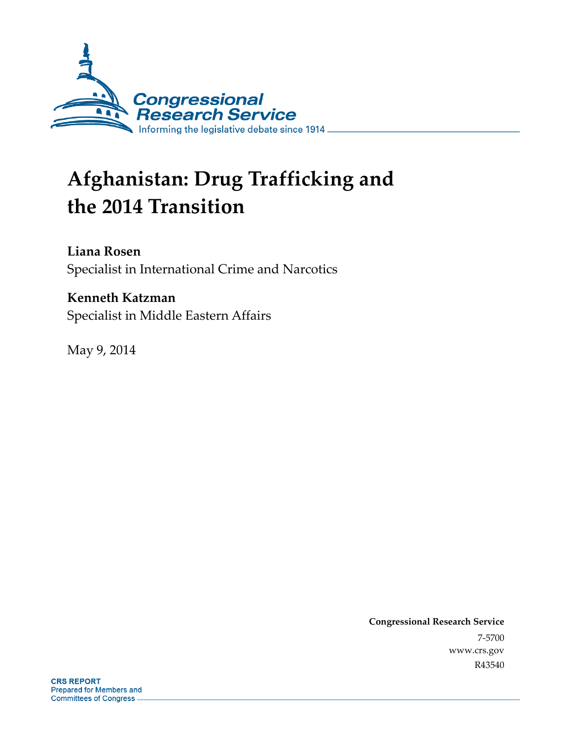

# **Afghanistan: Drug Trafficking and the 2014 Transition**

#### **Liana Rosen**

Specialist in International Crime and Narcotics

### **Kenneth Katzman**

Specialist in Middle Eastern Affairs

May 9, 2014

**Congressional Research Service**  7-5700 www.crs.gov R43540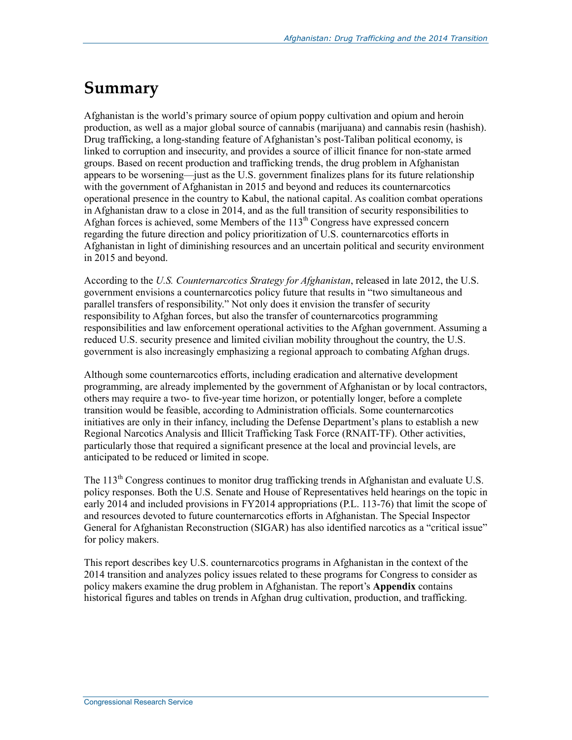## **Summary**

Afghanistan is the world's primary source of opium poppy cultivation and opium and heroin production, as well as a major global source of cannabis (marijuana) and cannabis resin (hashish). Drug trafficking, a long-standing feature of Afghanistan's post-Taliban political economy, is linked to corruption and insecurity, and provides a source of illicit finance for non-state armed groups. Based on recent production and trafficking trends, the drug problem in Afghanistan appears to be worsening—just as the U.S. government finalizes plans for its future relationship with the government of Afghanistan in 2015 and beyond and reduces its counternarcotics operational presence in the country to Kabul, the national capital. As coalition combat operations in Afghanistan draw to a close in 2014, and as the full transition of security responsibilities to Afghan forces is achieved, some Members of the  $113<sup>th</sup>$  Congress have expressed concern regarding the future direction and policy prioritization of U.S. counternarcotics efforts in Afghanistan in light of diminishing resources and an uncertain political and security environment in 2015 and beyond.

According to the *U.S. Counternarcotics Strategy for Afghanistan*, released in late 2012, the U.S. government envisions a counternarcotics policy future that results in "two simultaneous and parallel transfers of responsibility." Not only does it envision the transfer of security responsibility to Afghan forces, but also the transfer of counternarcotics programming responsibilities and law enforcement operational activities to the Afghan government. Assuming a reduced U.S. security presence and limited civilian mobility throughout the country, the U.S. government is also increasingly emphasizing a regional approach to combating Afghan drugs.

Although some counternarcotics efforts, including eradication and alternative development programming, are already implemented by the government of Afghanistan or by local contractors, others may require a two- to five-year time horizon, or potentially longer, before a complete transition would be feasible, according to Administration officials. Some counternarcotics initiatives are only in their infancy, including the Defense Department's plans to establish a new Regional Narcotics Analysis and Illicit Trafficking Task Force (RNAIT-TF). Other activities, particularly those that required a significant presence at the local and provincial levels, are anticipated to be reduced or limited in scope.

The 113<sup>th</sup> Congress continues to monitor drug trafficking trends in Afghanistan and evaluate U.S. policy responses. Both the U.S. Senate and House of Representatives held hearings on the topic in early 2014 and included provisions in FY2014 appropriations (P.L. 113-76) that limit the scope of and resources devoted to future counternarcotics efforts in Afghanistan. The Special Inspector General for Afghanistan Reconstruction (SIGAR) has also identified narcotics as a "critical issue" for policy makers.

This report describes key U.S. counternarcotics programs in Afghanistan in the context of the 2014 transition and analyzes policy issues related to these programs for Congress to consider as policy makers examine the drug problem in Afghanistan. The report's **Appendix** contains historical figures and tables on trends in Afghan drug cultivation, production, and trafficking.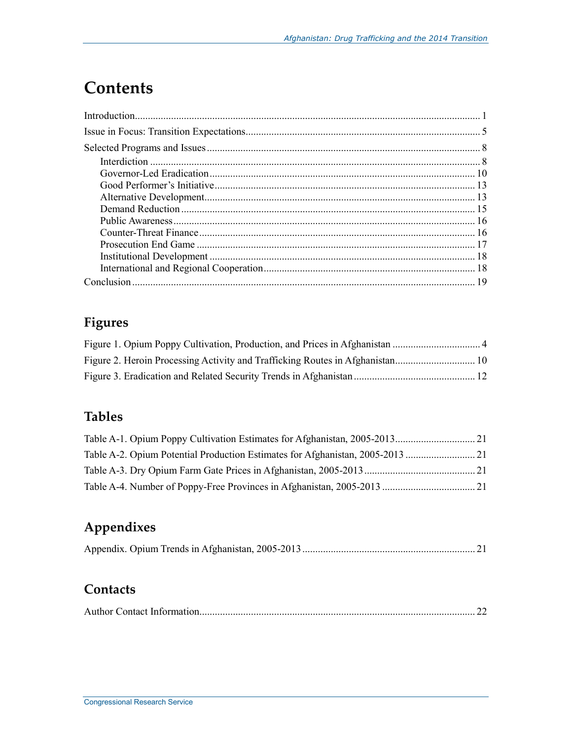## **Contents**

## **Figures**

### **Tables**

| Table A-2. Opium Potential Production Estimates for Afghanistan, 2005-2013 |  |
|----------------------------------------------------------------------------|--|
|                                                                            |  |
|                                                                            |  |

## **Appendixes**

|--|--|--|--|--|

### **Contacts**

|--|--|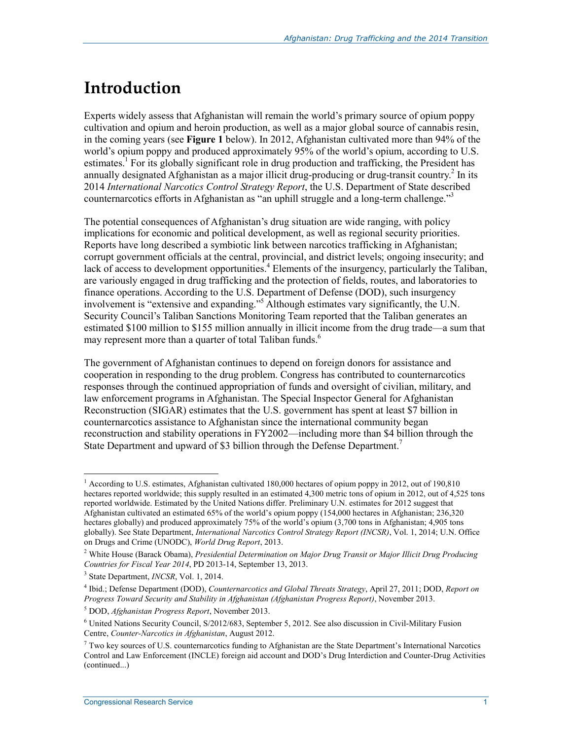## **Introduction**

Experts widely assess that Afghanistan will remain the world's primary source of opium poppy cultivation and opium and heroin production, as well as a major global source of cannabis resin, in the coming years (see **Figure 1** below). In 2012, Afghanistan cultivated more than 94% of the world's opium poppy and produced approximately 95% of the world's opium, according to U.S. estimates.<sup>1</sup> For its globally significant role in drug production and trafficking, the President has annually designated Afghanistan as a major illicit drug-producing or drug-transit country.<sup>2</sup> In its 2014 *International Narcotics Control Strategy Report*, the U.S. Department of State described counternarcotics efforts in Afghanistan as "an uphill struggle and a long-term challenge."<sup>3</sup>

The potential consequences of Afghanistan's drug situation are wide ranging, with policy implications for economic and political development, as well as regional security priorities. Reports have long described a symbiotic link between narcotics trafficking in Afghanistan; corrupt government officials at the central, provincial, and district levels; ongoing insecurity; and lack of access to development opportunities.<sup>4</sup> Elements of the insurgency, particularly the Taliban, are variously engaged in drug trafficking and the protection of fields, routes, and laboratories to finance operations. According to the U.S. Department of Defense (DOD), such insurgency involvement is "extensive and expanding."5 Although estimates vary significantly, the U.N. Security Council's Taliban Sanctions Monitoring Team reported that the Taliban generates an estimated \$100 million to \$155 million annually in illicit income from the drug trade—a sum that may represent more than a quarter of total Taliban funds. $<sup>6</sup>$ </sup>

The government of Afghanistan continues to depend on foreign donors for assistance and cooperation in responding to the drug problem. Congress has contributed to counternarcotics responses through the continued appropriation of funds and oversight of civilian, military, and law enforcement programs in Afghanistan. The Special Inspector General for Afghanistan Reconstruction (SIGAR) estimates that the U.S. government has spent at least \$7 billion in counternarcotics assistance to Afghanistan since the international community began reconstruction and stability operations in FY2002—including more than \$4 billion through the State Department and upward of \$3 billion through the Defense Department.<sup>7</sup>

<sup>&</sup>lt;sup>1</sup> According to U.S. estimates, Afghanistan cultivated 180,000 hectares of opium poppy in 2012, out of 190,810 hectares reported worldwide; this supply resulted in an estimated 4,300 metric tons of opium in 2012, out of 4,525 tons reported worldwide. Estimated by the United Nations differ. Preliminary U.N. estimates for 2012 suggest that Afghanistan cultivated an estimated 65% of the world's opium poppy (154,000 hectares in Afghanistan; 236,320 hectares globally) and produced approximately 75% of the world's opium (3,700 tons in Afghanistan; 4,905 tons globally). See State Department, *International Narcotics Control Strategy Report (INCSR)*, Vol. 1, 2014; U.N. Office on Drugs and Crime (UNODC), *World Drug Report*, 2013.

<sup>&</sup>lt;sup>2</sup> White House (Barack Obama), *Presidential Determination on Major Drug Transit or Major Illicit Drug Producing Countries for Fiscal Year 2014*, PD 2013-14, September 13, 2013.

<sup>3</sup> State Department, *INCSR*, Vol. 1, 2014.

<sup>4</sup> Ibid.; Defense Department (DOD), *Counternarcotics and Global Threats Strategy*, April 27, 2011; DOD, *Report on Progress Toward Security and Stability in Afghanistan (Afghanistan Progress Report)*, November 2013.

<sup>5</sup> DOD, *Afghanistan Progress Report*, November 2013.

<sup>&</sup>lt;sup>6</sup> United Nations Security Council, S/2012/683, September 5, 2012. See also discussion in Civil-Military Fusion Centre, *Counter-Narcotics in Afghanistan*, August 2012.

 $^7$  Two key sources of U.S. counternarcotics funding to Afghanistan are the State Department's International Narcotics Control and Law Enforcement (INCLE) foreign aid account and DOD's Drug Interdiction and Counter-Drug Activities (continued...)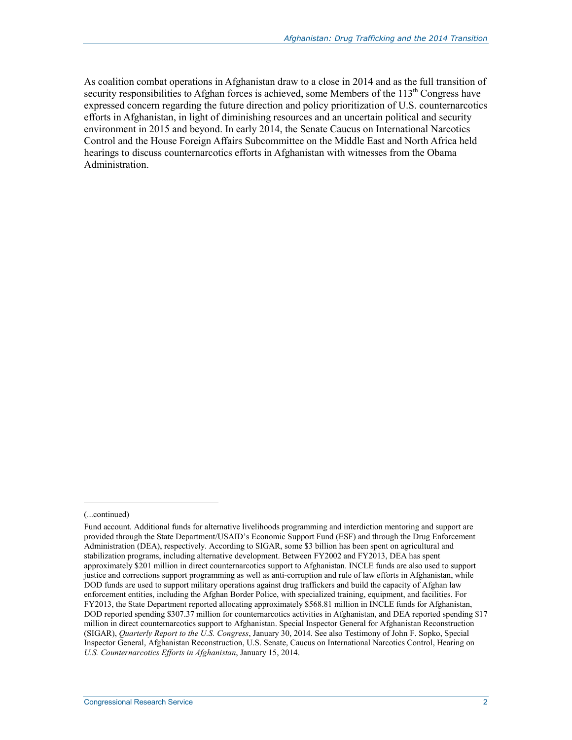As coalition combat operations in Afghanistan draw to a close in 2014 and as the full transition of security responsibilities to Afghan forces is achieved, some Members of the 113<sup>th</sup> Congress have expressed concern regarding the future direction and policy prioritization of U.S. counternarcotics efforts in Afghanistan, in light of diminishing resources and an uncertain political and security environment in 2015 and beyond. In early 2014, the Senate Caucus on International Narcotics Control and the House Foreign Affairs Subcommittee on the Middle East and North Africa held hearings to discuss counternarcotics efforts in Afghanistan with witnesses from the Obama Administration.

<sup>(...</sup>continued)

Fund account. Additional funds for alternative livelihoods programming and interdiction mentoring and support are provided through the State Department/USAID's Economic Support Fund (ESF) and through the Drug Enforcement Administration (DEA), respectively. According to SIGAR, some \$3 billion has been spent on agricultural and stabilization programs, including alternative development. Between FY2002 and FY2013, DEA has spent approximately \$201 million in direct counternarcotics support to Afghanistan. INCLE funds are also used to support justice and corrections support programming as well as anti-corruption and rule of law efforts in Afghanistan, while DOD funds are used to support military operations against drug traffickers and build the capacity of Afghan law enforcement entities, including the Afghan Border Police, with specialized training, equipment, and facilities. For FY2013, the State Department reported allocating approximately \$568.81 million in INCLE funds for Afghanistan, DOD reported spending \$307.37 million for counternarcotics activities in Afghanistan, and DEA reported spending \$17 million in direct counternarcotics support to Afghanistan. Special Inspector General for Afghanistan Reconstruction (SIGAR), *Quarterly Report to the U.S. Congress*, January 30, 2014. See also Testimony of John F. Sopko, Special Inspector General, Afghanistan Reconstruction, U.S. Senate, Caucus on International Narcotics Control, Hearing on *U.S. Counternarcotics Efforts in Afghanistan*, January 15, 2014.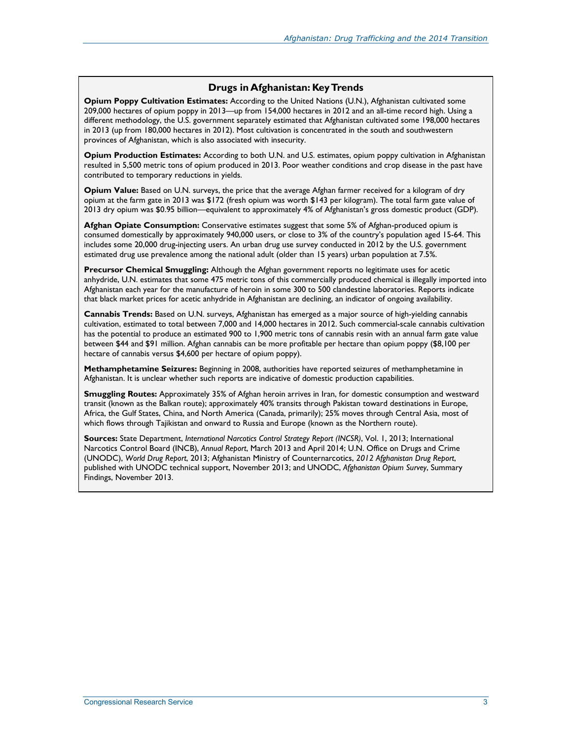#### **Drugs in Afghanistan: Key Trends**

**Opium Poppy Cultivation Estimates:** According to the United Nations (U.N.), Afghanistan cultivated some 209,000 hectares of opium poppy in 2013—up from 154,000 hectares in 2012 and an all-time record high. Using a different methodology, the U.S. government separately estimated that Afghanistan cultivated some 198,000 hectares in 2013 (up from 180,000 hectares in 2012). Most cultivation is concentrated in the south and southwestern provinces of Afghanistan, which is also associated with insecurity.

**Opium Production Estimates:** According to both U.N. and U.S. estimates, opium poppy cultivation in Afghanistan resulted in 5,500 metric tons of opium produced in 2013. Poor weather conditions and crop disease in the past have contributed to temporary reductions in yields.

**Opium Value:** Based on U.N. surveys, the price that the average Afghan farmer received for a kilogram of dry opium at the farm gate in 2013 was \$172 (fresh opium was worth \$143 per kilogram). The total farm gate value of 2013 dry opium was \$0.95 billion—equivalent to approximately 4% of Afghanistan's gross domestic product (GDP).

**Afghan Opiate Consumption:** Conservative estimates suggest that some 5% of Afghan-produced opium is consumed domestically by approximately 940,000 users, or close to 3% of the country's population aged 15-64. This includes some 20,000 drug-injecting users. An urban drug use survey conducted in 2012 by the U.S. government estimated drug use prevalence among the national adult (older than 15 years) urban population at 7.5%.

**Precursor Chemical Smuggling:** Although the Afghan government reports no legitimate uses for acetic anhydride, U.N. estimates that some 475 metric tons of this commercially produced chemical is illegally imported into Afghanistan each year for the manufacture of heroin in some 300 to 500 clandestine laboratories. Reports indicate that black market prices for acetic anhydride in Afghanistan are declining, an indicator of ongoing availability.

**Cannabis Trends:** Based on U.N. surveys, Afghanistan has emerged as a major source of high-yielding cannabis cultivation, estimated to total between 7,000 and 14,000 hectares in 2012. Such commercial-scale cannabis cultivation has the potential to produce an estimated 900 to 1,900 metric tons of cannabis resin with an annual farm gate value between \$44 and \$91 million. Afghan cannabis can be more profitable per hectare than opium poppy (\$8,100 per hectare of cannabis versus \$4,600 per hectare of opium poppy).

**Methamphetamine Seizures:** Beginning in 2008, authorities have reported seizures of methamphetamine in Afghanistan. It is unclear whether such reports are indicative of domestic production capabilities.

**Smuggling Routes:** Approximately 35% of Afghan heroin arrives in Iran, for domestic consumption and westward transit (known as the Balkan route); approximately 40% transits through Pakistan toward destinations in Europe, Africa, the Gulf States, China, and North America (Canada, primarily); 25% moves through Central Asia, most of which flows through Tajikistan and onward to Russia and Europe (known as the Northern route).

**Sources:** State Department, *International Narcotics Control Strategy Report (INCSR)*, Vol. 1, 2013; International Narcotics Control Board (INCB), *Annual Report*, March 2013 and April 2014; U.N. Office on Drugs and Crime (UNODC), *World Drug Report*, 2013; Afghanistan Ministry of Counternarcotics, *2012 Afghanistan Drug Report*, published with UNODC technical support, November 2013; and UNODC, *Afghanistan Opium Survey*, Summary Findings, November 2013.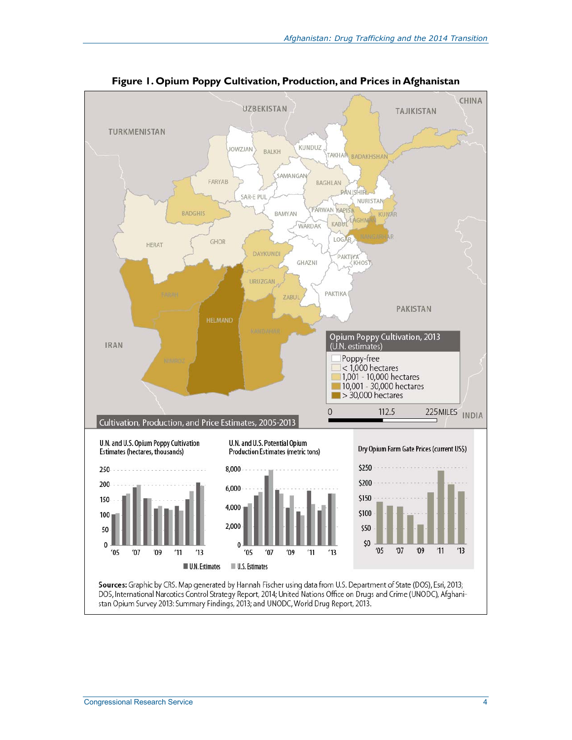

**Figure 1. Opium Poppy Cultivation, Production, and Prices in Afghanistan**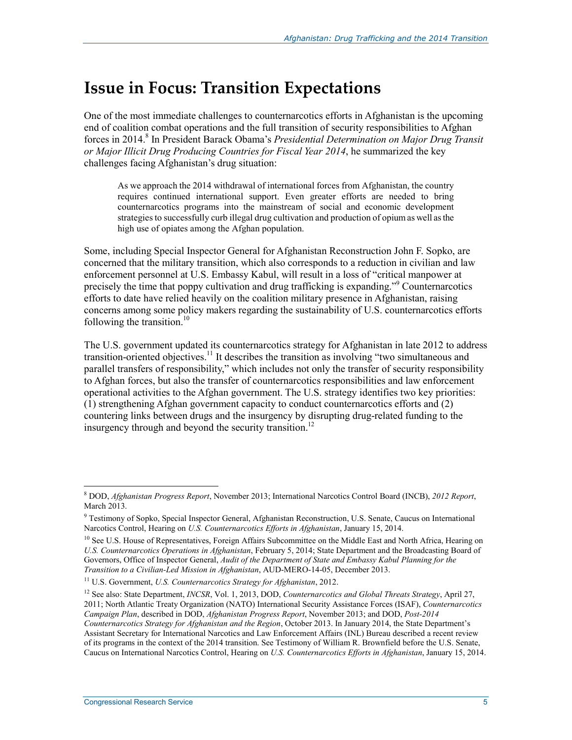## **Issue in Focus: Transition Expectations**

One of the most immediate challenges to counternarcotics efforts in Afghanistan is the upcoming end of coalition combat operations and the full transition of security responsibilities to Afghan forces in 2014.<sup>8</sup> In President Barack Obama's *Presidential Determination on Major Drug Transit or Major Illicit Drug Producing Countries for Fiscal Year 2014*, he summarized the key challenges facing Afghanistan's drug situation:

As we approach the 2014 withdrawal of international forces from Afghanistan, the country requires continued international support. Even greater efforts are needed to bring counternarcotics programs into the mainstream of social and economic development strategies to successfully curb illegal drug cultivation and production of opium as well as the high use of opiates among the Afghan population.

Some, including Special Inspector General for Afghanistan Reconstruction John F. Sopko, are concerned that the military transition, which also corresponds to a reduction in civilian and law enforcement personnel at U.S. Embassy Kabul, will result in a loss of "critical manpower at precisely the time that poppy cultivation and drug trafficking is expanding."<sup>9</sup> Counternarcotics efforts to date have relied heavily on the coalition military presence in Afghanistan, raising concerns among some policy makers regarding the sustainability of U.S. counternarcotics efforts following the transition.<sup>10</sup>

The U.S. government updated its counternarcotics strategy for Afghanistan in late 2012 to address transition-oriented objectives.11 It describes the transition as involving "two simultaneous and parallel transfers of responsibility," which includes not only the transfer of security responsibility to Afghan forces, but also the transfer of counternarcotics responsibilities and law enforcement operational activities to the Afghan government. The U.S. strategy identifies two key priorities: (1) strengthening Afghan government capacity to conduct counternarcotics efforts and (2) countering links between drugs and the insurgency by disrupting drug-related funding to the insurgency through and beyond the security transition.<sup>12</sup>

<u>.</u>

<sup>8</sup> DOD, *Afghanistan Progress Report*, November 2013; International Narcotics Control Board (INCB), *2012 Report*, March 2013.

<sup>9</sup> Testimony of Sopko, Special Inspector General, Afghanistan Reconstruction, U.S. Senate, Caucus on International Narcotics Control, Hearing on *U.S. Counternarcotics Efforts in Afghanistan*, January 15, 2014.

<sup>&</sup>lt;sup>10</sup> See U.S. House of Representatives, Foreign Affairs Subcommittee on the Middle East and North Africa, Hearing on *U.S. Counternarcotics Operations in Afghanistan*, February 5, 2014; State Department and the Broadcasting Board of Governors, Office of Inspector General, *Audit of the Department of State and Embassy Kabul Planning for the Transition to a Civilian-Led Mission in Afghanistan*, AUD-MERO-14-05, December 2013.

<sup>11</sup> U.S. Government, *U.S. Counternarcotics Strategy for Afghanistan*, 2012.

<sup>12</sup> See also: State Department, *INCSR*, Vol. 1, 2013, DOD, *Counternarcotics and Global Threats Strategy*, April 27, 2011; North Atlantic Treaty Organization (NATO) International Security Assistance Forces (ISAF), *Counternarcotics Campaign Plan*, described in DOD, *Afghanistan Progress Report*, November 2013; and DOD, *Post-2014 Counternarcotics Strategy for Afghanistan and the Region*, October 2013. In January 2014, the State Department's Assistant Secretary for International Narcotics and Law Enforcement Affairs (INL) Bureau described a recent review of its programs in the context of the 2014 transition. See Testimony of William R. Brownfield before the U.S. Senate, Caucus on International Narcotics Control, Hearing on *U.S. Counternarcotics Efforts in Afghanistan*, January 15, 2014.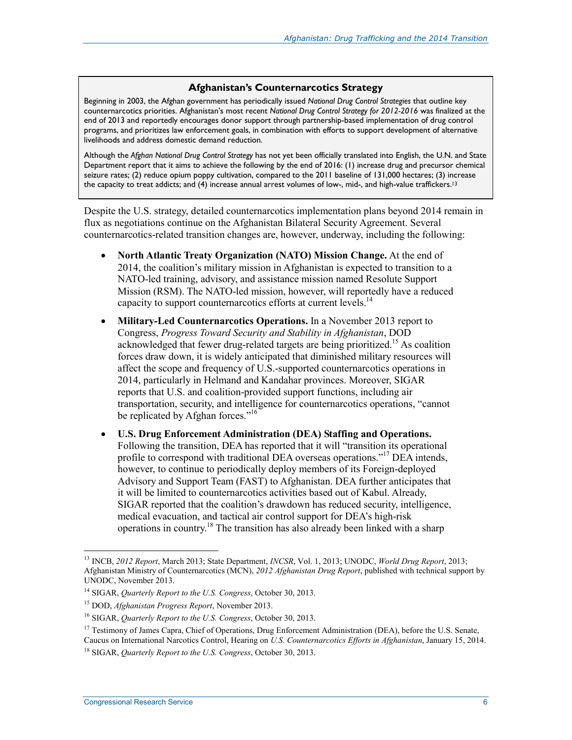#### **Afghanistan's Counternarcotics Strategy**

Beginning in 2003, the Afghan government has periodically issued *National Drug Control Strategies* that outline key counternarcotics priorities. Afghanistan's most recent *National Drug Control Strategy for 2012-2016* was finalized at the end of 2013 and reportedly encourages donor support through partnership-based implementation of drug control programs, and prioritizes law enforcement goals, in combination with efforts to support development of alternative livelihoods and address domestic demand reduction.

Although the *Afghan National Drug Control Strategy* has not yet been officially translated into English, the U.N. and State Department report that it aims to achieve the following by the end of 2016: (1) increase drug and precursor chemical seizure rates; (2) reduce opium poppy cultivation, compared to the 2011 baseline of 131,000 hectares; (3) increase the capacity to treat addicts; and (4) increase annual arrest volumes of low-, mid-, and high-value traffickers.<sup>13</sup>

Despite the U.S. strategy, detailed counternarcotics implementation plans beyond 2014 remain in flux as negotiations continue on the Afghanistan Bilateral Security Agreement. Several counternarcotics-related transition changes are, however, underway, including the following:

- **North Atlantic Treaty Organization (NATO) Mission Change.** At the end of 2014, the coalition's military mission in Afghanistan is expected to transition to a NATO-led training, advisory, and assistance mission named Resolute Support Mission (RSM). The NATO-led mission, however, will reportedly have a reduced capacity to support counternarcotics efforts at current levels.<sup>14</sup>
- **Military-Led Counternarcotics Operations.** In a November 2013 report to Congress, *Progress Toward Security and Stability in Afghanistan*, DOD acknowledged that fewer drug-related targets are being prioritized.<sup>15</sup> As coalition forces draw down, it is widely anticipated that diminished military resources will affect the scope and frequency of U.S.-supported counternarcotics operations in 2014, particularly in Helmand and Kandahar provinces. Moreover, SIGAR reports that U.S. and coalition-provided support functions, including air transportation, security, and intelligence for counternarcotics operations, "cannot be replicated by Afghan forces."<sup>16</sup>
- **U.S. Drug Enforcement Administration (DEA) Staffing and Operations.**  Following the transition, DEA has reported that it will "transition its operational profile to correspond with traditional DEA overseas operations."17 DEA intends, however, to continue to periodically deploy members of its Foreign-deployed Advisory and Support Team (FAST) to Afghanistan. DEA further anticipates that it will be limited to counternarcotics activities based out of Kabul. Already, SIGAR reported that the coalition's drawdown has reduced security, intelligence, medical evacuation, and tactical air control support for DEA's high-risk operations in country.18 The transition has also already been linked with a sharp

<sup>13</sup> INCB, *2012 Report*, March 2013; State Department, *INCSR*, Vol. 1, 2013; UNODC, *World Drug Report*, 2013; Afghanistan Ministry of Counternarcotics (MCN), *2012 Afghanistan Drug Report*, published with technical support by UNODC, November 2013.

<sup>14</sup> SIGAR, *Quarterly Report to the U.S. Congress*, October 30, 2013.

<sup>15</sup> DOD, *Afghanistan Progress Report*, November 2013.

<sup>16</sup> SIGAR, *Quarterly Report to the U.S. Congress*, October 30, 2013.

<sup>&</sup>lt;sup>17</sup> Testimony of James Capra, Chief of Operations, Drug Enforcement Administration (DEA), before the U.S. Senate, Caucus on International Narcotics Control, Hearing on *U.S. Counternarcotics Efforts in Afghanistan*, January 15, 2014.

<sup>18</sup> SIGAR, *Quarterly Report to the U.S. Congress*, October 30, 2013.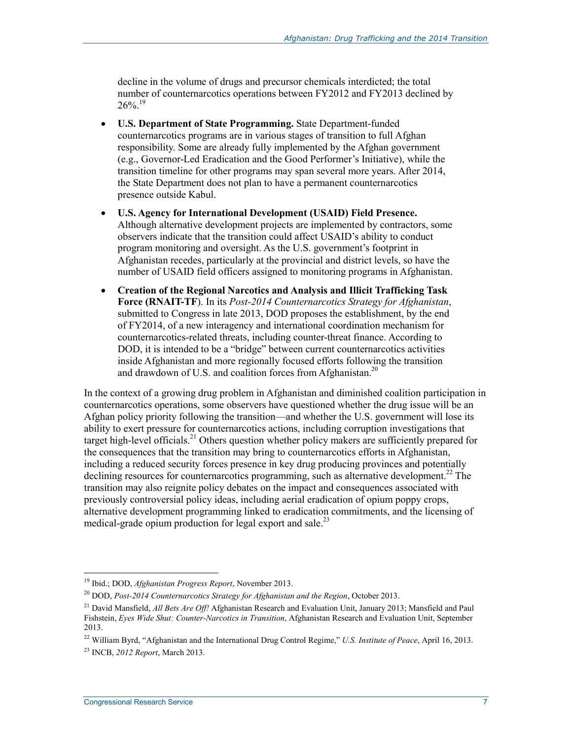decline in the volume of drugs and precursor chemicals interdicted; the total number of counternarcotics operations between FY2012 and FY2013 declined by  $26\%$ <sup>19</sup>

- **U.S. Department of State Programming.** State Department-funded counternarcotics programs are in various stages of transition to full Afghan responsibility. Some are already fully implemented by the Afghan government (e.g., Governor-Led Eradication and the Good Performer's Initiative), while the transition timeline for other programs may span several more years. After 2014, the State Department does not plan to have a permanent counternarcotics presence outside Kabul.
- **U.S. Agency for International Development (USAID) Field Presence.**  Although alternative development projects are implemented by contractors, some observers indicate that the transition could affect USAID's ability to conduct program monitoring and oversight. As the U.S. government's footprint in Afghanistan recedes, particularly at the provincial and district levels, so have the number of USAID field officers assigned to monitoring programs in Afghanistan.
- **Creation of the Regional Narcotics and Analysis and Illicit Trafficking Task Force (RNAIT-TF**). In its *Post-2014 Counternarcotics Strategy for Afghanistan*, submitted to Congress in late 2013, DOD proposes the establishment, by the end of FY2014, of a new interagency and international coordination mechanism for counternarcotics-related threats, including counter-threat finance. According to DOD, it is intended to be a "bridge" between current counternarcotics activities inside Afghanistan and more regionally focused efforts following the transition and drawdown of U.S. and coalition forces from Afghanistan.<sup>20</sup>

In the context of a growing drug problem in Afghanistan and diminished coalition participation in counternarcotics operations, some observers have questioned whether the drug issue will be an Afghan policy priority following the transition—and whether the U.S. government will lose its ability to exert pressure for counternarcotics actions, including corruption investigations that target high-level officials.<sup>21</sup> Others question whether policy makers are sufficiently prepared for the consequences that the transition may bring to counternarcotics efforts in Afghanistan, including a reduced security forces presence in key drug producing provinces and potentially declining resources for counternarcotics programming, such as alternative development.<sup>22</sup> The transition may also reignite policy debates on the impact and consequences associated with previously controversial policy ideas, including aerial eradication of opium poppy crops, alternative development programming linked to eradication commitments, and the licensing of medical-grade opium production for legal export and sale.<sup>23</sup>

<sup>19</sup> Ibid.; DOD, *Afghanistan Progress Report*, November 2013.

<sup>20</sup> DOD, *Post-2014 Counternarcotics Strategy for Afghanistan and the Region*, October 2013.

<sup>21</sup> David Mansfield, *All Bets Are Off!* Afghanistan Research and Evaluation Unit, January 2013; Mansfield and Paul Fishstein, *Eyes Wide Shut: Counter-Narcotics in Transition*, Afghanistan Research and Evaluation Unit, September 2013.

<sup>22</sup> William Byrd, "Afghanistan and the International Drug Control Regime," *U.S. Institute of Peace*, April 16, 2013.

<sup>23</sup> INCB, *2012 Report*, March 2013.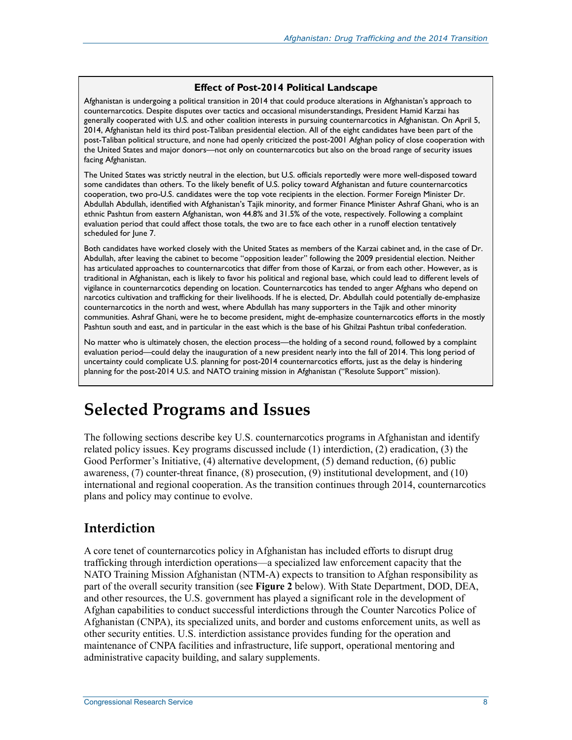#### **Effect of Post-2014 Political Landscape**

Afghanistan is undergoing a political transition in 2014 that could produce alterations in Afghanistan's approach to counternarcotics. Despite disputes over tactics and occasional misunderstandings, President Hamid Karzai has generally cooperated with U.S. and other coalition interests in pursuing counternarcotics in Afghanistan. On April 5, 2014, Afghanistan held its third post-Taliban presidential election. All of the eight candidates have been part of the post-Taliban political structure, and none had openly criticized the post-2001 Afghan policy of close cooperation with the United States and major donors—not only on counternarcotics but also on the broad range of security issues facing Afghanistan.

The United States was strictly neutral in the election, but U.S. officials reportedly were more well-disposed toward some candidates than others. To the likely benefit of U.S. policy toward Afghanistan and future counternarcotics cooperation, two pro-U.S. candidates were the top vote recipients in the election. Former Foreign Minister Dr. Abdullah Abdullah, identified with Afghanistan's Tajik minority, and former Finance Minister Ashraf Ghani, who is an ethnic Pashtun from eastern Afghanistan, won 44.8% and 31.5% of the vote, respectively. Following a complaint evaluation period that could affect those totals, the two are to face each other in a runoff election tentatively scheduled for June 7.

Both candidates have worked closely with the United States as members of the Karzai cabinet and, in the case of Dr. Abdullah, after leaving the cabinet to become "opposition leader" following the 2009 presidential election. Neither has articulated approaches to counternarcotics that differ from those of Karzai, or from each other. However, as is traditional in Afghanistan, each is likely to favor his political and regional base, which could lead to different levels of vigilance in counternarcotics depending on location. Counternarcotics has tended to anger Afghans who depend on narcotics cultivation and trafficking for their livelihoods. If he is elected, Dr. Abdullah could potentially de-emphasize counternarcotics in the north and west, where Abdullah has many supporters in the Tajik and other minority communities. Ashraf Ghani, were he to become president, might de-emphasize counternarcotics efforts in the mostly Pashtun south and east, and in particular in the east which is the base of his Ghilzai Pashtun tribal confederation.

No matter who is ultimately chosen, the election process—the holding of a second round, followed by a complaint evaluation period—could delay the inauguration of a new president nearly into the fall of 2014. This long period of uncertainty could complicate U.S. planning for post-2014 counternarcotics efforts, just as the delay is hindering planning for the post-2014 U.S. and NATO training mission in Afghanistan ("Resolute Support" mission).

## **Selected Programs and Issues**

The following sections describe key U.S. counternarcotics programs in Afghanistan and identify related policy issues. Key programs discussed include (1) interdiction, (2) eradication, (3) the Good Performer's Initiative, (4) alternative development, (5) demand reduction, (6) public awareness, (7) counter-threat finance, (8) prosecution, (9) institutional development, and (10) international and regional cooperation. As the transition continues through 2014, counternarcotics plans and policy may continue to evolve.

#### **Interdiction**

A core tenet of counternarcotics policy in Afghanistan has included efforts to disrupt drug trafficking through interdiction operations—a specialized law enforcement capacity that the NATO Training Mission Afghanistan (NTM-A) expects to transition to Afghan responsibility as part of the overall security transition (see **Figure 2** below). With State Department, DOD, DEA, and other resources, the U.S. government has played a significant role in the development of Afghan capabilities to conduct successful interdictions through the Counter Narcotics Police of Afghanistan (CNPA), its specialized units, and border and customs enforcement units, as well as other security entities. U.S. interdiction assistance provides funding for the operation and maintenance of CNPA facilities and infrastructure, life support, operational mentoring and administrative capacity building, and salary supplements.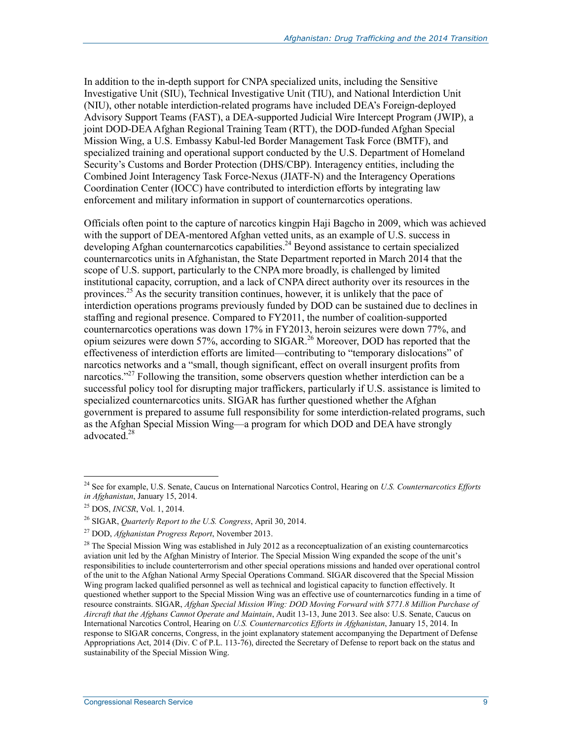In addition to the in-depth support for CNPA specialized units, including the Sensitive Investigative Unit (SIU), Technical Investigative Unit (TIU), and National Interdiction Unit (NIU), other notable interdiction-related programs have included DEA's Foreign-deployed Advisory Support Teams (FAST), a DEA-supported Judicial Wire Intercept Program (JWIP), a joint DOD-DEA Afghan Regional Training Team (RTT), the DOD-funded Afghan Special Mission Wing, a U.S. Embassy Kabul-led Border Management Task Force (BMTF), and specialized training and operational support conducted by the U.S. Department of Homeland Security's Customs and Border Protection (DHS/CBP). Interagency entities, including the Combined Joint Interagency Task Force-Nexus (JIATF-N) and the Interagency Operations Coordination Center (IOCC) have contributed to interdiction efforts by integrating law enforcement and military information in support of counternarcotics operations.

Officials often point to the capture of narcotics kingpin Haji Bagcho in 2009, which was achieved with the support of DEA-mentored Afghan vetted units, as an example of U.S. success in developing Afghan counternarcotics capabilities.<sup>24</sup> Beyond assistance to certain specialized counternarcotics units in Afghanistan, the State Department reported in March 2014 that the scope of U.S. support, particularly to the CNPA more broadly, is challenged by limited institutional capacity, corruption, and a lack of CNPA direct authority over its resources in the provinces.25 As the security transition continues, however, it is unlikely that the pace of interdiction operations programs previously funded by DOD can be sustained due to declines in staffing and regional presence. Compared to FY2011, the number of coalition-supported counternarcotics operations was down 17% in FY2013, heroin seizures were down 77%, and opium seizures were down 57%, according to SIGAR.26 Moreover, DOD has reported that the effectiveness of interdiction efforts are limited—contributing to "temporary dislocations" of narcotics networks and a "small, though significant, effect on overall insurgent profits from narcotics."<sup>27</sup> Following the transition, some observers question whether interdiction can be a successful policy tool for disrupting major traffickers, particularly if U.S. assistance is limited to specialized counternarcotics units. SIGAR has further questioned whether the Afghan government is prepared to assume full responsibility for some interdiction-related programs, such as the Afghan Special Mission Wing—a program for which DOD and DEA have strongly advocated.<sup>28</sup>

<sup>24</sup> See for example, U.S. Senate, Caucus on International Narcotics Control, Hearing on *U.S. Counternarcotics Efforts in Afghanistan*, January 15, 2014.

<sup>25</sup> DOS, *INCSR*, Vol. 1, 2014.

<sup>26</sup> SIGAR, *Quarterly Report to the U.S. Congress*, April 30, 2014.

<sup>27</sup> DOD, *Afghanistan Progress Report*, November 2013.

 $28$  The Special Mission Wing was established in July 2012 as a reconceptualization of an existing counternarcotics aviation unit led by the Afghan Ministry of Interior. The Special Mission Wing expanded the scope of the unit's responsibilities to include counterterrorism and other special operations missions and handed over operational control of the unit to the Afghan National Army Special Operations Command. SIGAR discovered that the Special Mission Wing program lacked qualified personnel as well as technical and logistical capacity to function effectively. It questioned whether support to the Special Mission Wing was an effective use of counternarcotics funding in a time of resource constraints. SIGAR, *Afghan Special Mission Wing: DOD Moving Forward with \$771.8 Million Purchase of Aircraft that the Afghans Cannot Operate and Maintain*, Audit 13-13, June 2013. See also: U.S. Senate, Caucus on International Narcotics Control, Hearing on *U.S. Counternarcotics Efforts in Afghanistan*, January 15, 2014. In response to SIGAR concerns, Congress, in the joint explanatory statement accompanying the Department of Defense Appropriations Act, 2014 (Div. C of P.L. 113-76), directed the Secretary of Defense to report back on the status and sustainability of the Special Mission Wing.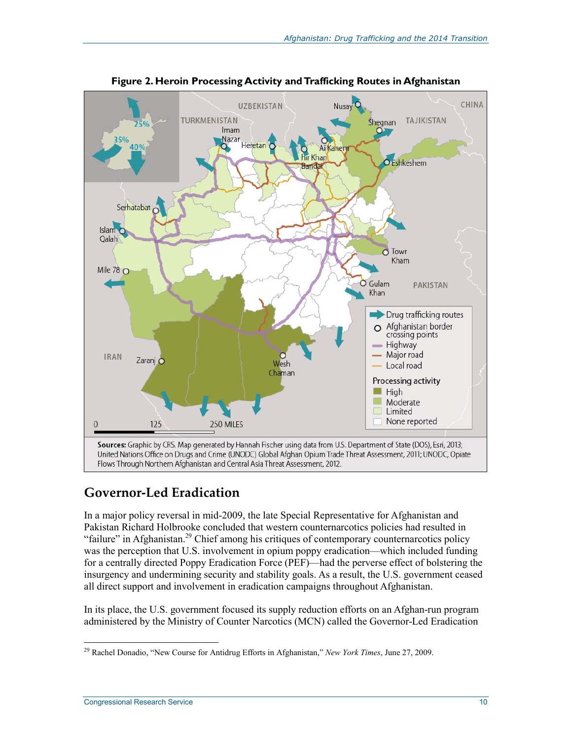

**Figure 2. Heroin Processing Activity and Trafficking Routes in Afghanistan** 

### **Governor-Led Eradication**

In a major policy reversal in mid-2009, the late Special Representative for Afghanistan and Pakistan Richard Holbrooke concluded that western counternarcotics policies had resulted in "failure" in Afghanistan.<sup>29</sup> Chief among his critiques of contemporary counternarcotics policy was the perception that U.S. involvement in opium poppy eradication—which included funding for a centrally directed Poppy Eradication Force (PEF)—had the perverse effect of bolstering the insurgency and undermining security and stability goals. As a result, the U.S. government ceased all direct support and involvement in eradication campaigns throughout Afghanistan.

In its place, the U.S. government focused its supply reduction efforts on an Afghan-run program administered by the Ministry of Counter Narcotics (MCN) called the Governor-Led Eradication

<sup>&</sup>lt;u>.</u> 29 Rachel Donadio, "New Course for Antidrug Efforts in Afghanistan," *New York Times*, June 27, 2009.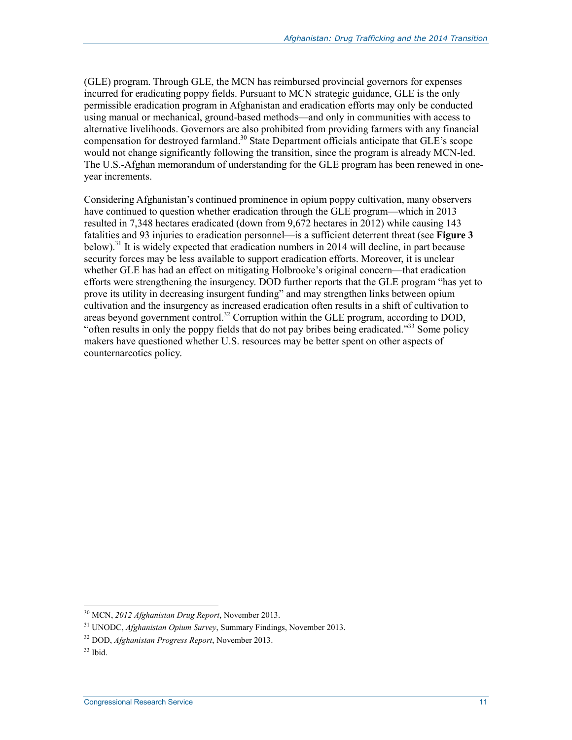(GLE) program. Through GLE, the MCN has reimbursed provincial governors for expenses incurred for eradicating poppy fields. Pursuant to MCN strategic guidance, GLE is the only permissible eradication program in Afghanistan and eradication efforts may only be conducted using manual or mechanical, ground-based methods—and only in communities with access to alternative livelihoods. Governors are also prohibited from providing farmers with any financial compensation for destroyed farmland.<sup>30</sup> State Department officials anticipate that GLE's scope would not change significantly following the transition, since the program is already MCN-led. The U.S.-Afghan memorandum of understanding for the GLE program has been renewed in oneyear increments.

Considering Afghanistan's continued prominence in opium poppy cultivation, many observers have continued to question whether eradication through the GLE program—which in 2013 resulted in 7,348 hectares eradicated (down from 9,672 hectares in 2012) while causing 143 fatalities and 93 injuries to eradication personnel—is a sufficient deterrent threat (see **Figure 3** below).<sup>31</sup> It is widely expected that eradication numbers in 2014 will decline, in part because security forces may be less available to support eradication efforts. Moreover, it is unclear whether GLE has had an effect on mitigating Holbrooke's original concern—that eradication efforts were strengthening the insurgency. DOD further reports that the GLE program "has yet to prove its utility in decreasing insurgent funding" and may strengthen links between opium cultivation and the insurgency as increased eradication often results in a shift of cultivation to areas beyond government control.<sup>32</sup> Corruption within the GLE program, according to DOD, "often results in only the poppy fields that do not pay bribes being eradicated."33 Some policy makers have questioned whether U.S. resources may be better spent on other aspects of counternarcotics policy.

<sup>30</sup> MCN, *2012 Afghanistan Drug Report*, November 2013.

<sup>31</sup> UNODC, *Afghanistan Opium Survey*, Summary Findings, November 2013.

<sup>32</sup> DOD, *Afghanistan Progress Report*, November 2013.

 $33$  Ibid.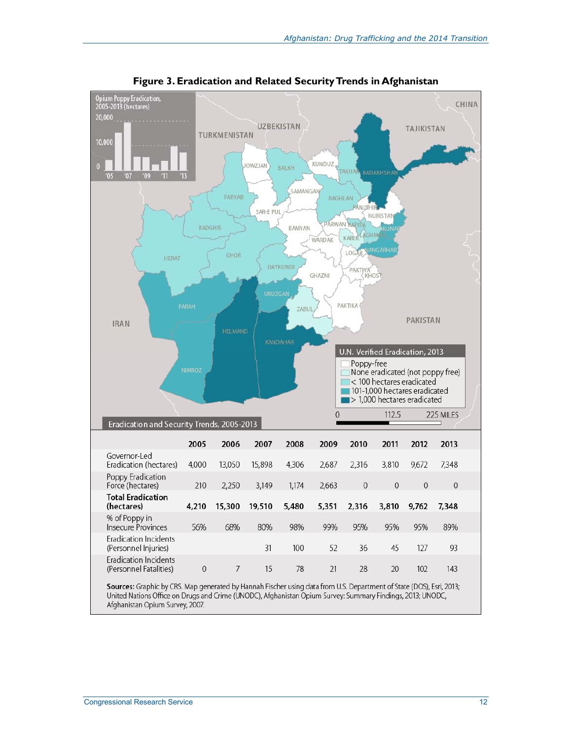

**Figure 3. Eradication and Related Security Trends in Afghanistan** 

Afghanistan Opium Survey, 2007.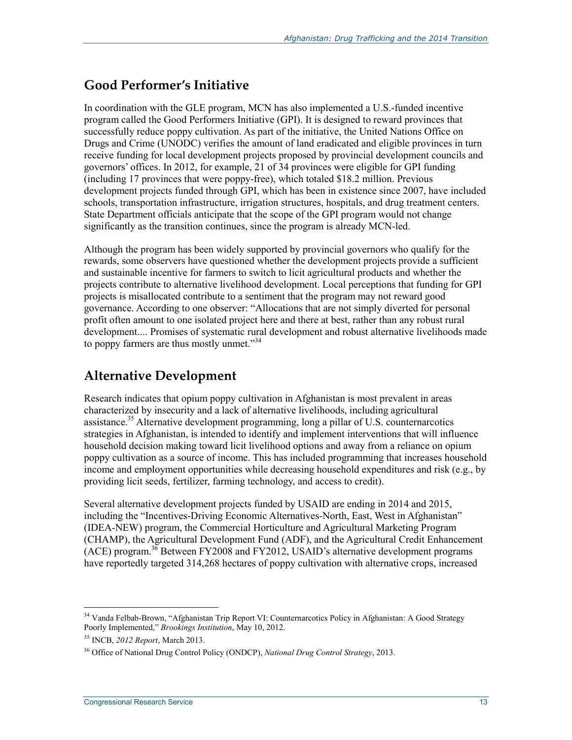### **Good Performer's Initiative**

In coordination with the GLE program, MCN has also implemented a U.S.-funded incentive program called the Good Performers Initiative (GPI). It is designed to reward provinces that successfully reduce poppy cultivation. As part of the initiative, the United Nations Office on Drugs and Crime (UNODC) verifies the amount of land eradicated and eligible provinces in turn receive funding for local development projects proposed by provincial development councils and governors' offices. In 2012, for example, 21 of 34 provinces were eligible for GPI funding (including 17 provinces that were poppy-free), which totaled \$18.2 million. Previous development projects funded through GPI, which has been in existence since 2007, have included schools, transportation infrastructure, irrigation structures, hospitals, and drug treatment centers. State Department officials anticipate that the scope of the GPI program would not change significantly as the transition continues, since the program is already MCN-led.

Although the program has been widely supported by provincial governors who qualify for the rewards, some observers have questioned whether the development projects provide a sufficient and sustainable incentive for farmers to switch to licit agricultural products and whether the projects contribute to alternative livelihood development. Local perceptions that funding for GPI projects is misallocated contribute to a sentiment that the program may not reward good governance. According to one observer: "Allocations that are not simply diverted for personal profit often amount to one isolated project here and there at best, rather than any robust rural development.... Promises of systematic rural development and robust alternative livelihoods made to poppy farmers are thus mostly unmet."<sup>34</sup>

### **Alternative Development**

Research indicates that opium poppy cultivation in Afghanistan is most prevalent in areas characterized by insecurity and a lack of alternative livelihoods, including agricultural assistance.<sup>35</sup> Alternative development programming, long a pillar of U.S. counternarcotics strategies in Afghanistan, is intended to identify and implement interventions that will influence household decision making toward licit livelihood options and away from a reliance on opium poppy cultivation as a source of income. This has included programming that increases household income and employment opportunities while decreasing household expenditures and risk (e.g., by providing licit seeds, fertilizer, farming technology, and access to credit).

Several alternative development projects funded by USAID are ending in 2014 and 2015, including the "Incentives-Driving Economic Alternatives-North, East, West in Afghanistan" (IDEA-NEW) program, the Commercial Horticulture and Agricultural Marketing Program (CHAMP), the Agricultural Development Fund (ADF), and the Agricultural Credit Enhancement  $(ACE)$  program.<sup>36</sup> Between FY2008 and FY2012, USAID's alternative development programs have reportedly targeted 314,268 hectares of poppy cultivation with alternative crops, increased

<sup>&</sup>lt;sup>34</sup> Vanda Felbab-Brown, "Afghanistan Trip Report VI: Counternarcotics Policy in Afghanistan: A Good Strategy Poorly Implemented," *Brookings Institution*, May 10, 2012.

<sup>35</sup> INCB, *2012 Report*, March 2013.

<sup>36</sup> Office of National Drug Control Policy (ONDCP), *National Drug Control Strategy*, 2013.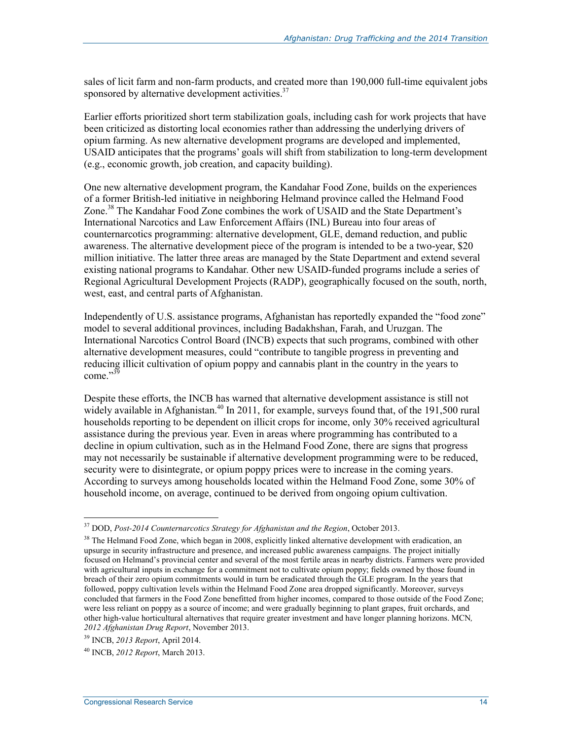sales of licit farm and non-farm products, and created more than 190,000 full-time equivalent jobs sponsored by alternative development activities. $37$ 

Earlier efforts prioritized short term stabilization goals, including cash for work projects that have been criticized as distorting local economies rather than addressing the underlying drivers of opium farming. As new alternative development programs are developed and implemented, USAID anticipates that the programs' goals will shift from stabilization to long-term development (e.g., economic growth, job creation, and capacity building).

One new alternative development program, the Kandahar Food Zone, builds on the experiences of a former British-led initiative in neighboring Helmand province called the Helmand Food Zone.<sup>38</sup> The Kandahar Food Zone combines the work of USAID and the State Department's International Narcotics and Law Enforcement Affairs (INL) Bureau into four areas of counternarcotics programming: alternative development, GLE, demand reduction, and public awareness. The alternative development piece of the program is intended to be a two-year, \$20 million initiative. The latter three areas are managed by the State Department and extend several existing national programs to Kandahar. Other new USAID-funded programs include a series of Regional Agricultural Development Projects (RADP), geographically focused on the south, north, west, east, and central parts of Afghanistan.

Independently of U.S. assistance programs, Afghanistan has reportedly expanded the "food zone" model to several additional provinces, including Badakhshan, Farah, and Uruzgan. The International Narcotics Control Board (INCB) expects that such programs, combined with other alternative development measures, could "contribute to tangible progress in preventing and reducing illicit cultivation of opium poppy and cannabis plant in the country in the years to come."<sup>39</sup>

Despite these efforts, the INCB has warned that alternative development assistance is still not widely available in Afghanistan.<sup>40</sup> In 2011, for example, surveys found that, of the 191,500 rural households reporting to be dependent on illicit crops for income, only 30% received agricultural assistance during the previous year. Even in areas where programming has contributed to a decline in opium cultivation, such as in the Helmand Food Zone, there are signs that progress may not necessarily be sustainable if alternative development programming were to be reduced, security were to disintegrate, or opium poppy prices were to increase in the coming years. According to surveys among households located within the Helmand Food Zone, some 30% of household income, on average, continued to be derived from ongoing opium cultivation.

<u>.</u>

<sup>37</sup> DOD, *Post-2014 Counternarcotics Strategy for Afghanistan and the Region*, October 2013.

<sup>&</sup>lt;sup>38</sup> The Helmand Food Zone, which began in 2008, explicitly linked alternative development with eradication, an upsurge in security infrastructure and presence, and increased public awareness campaigns. The project initially focused on Helmand's provincial center and several of the most fertile areas in nearby districts. Farmers were provided with agricultural inputs in exchange for a commitment not to cultivate opium poppy; fields owned by those found in breach of their zero opium commitments would in turn be eradicated through the GLE program. In the years that followed, poppy cultivation levels within the Helmand Food Zone area dropped significantly. Moreover, surveys concluded that farmers in the Food Zone benefitted from higher incomes, compared to those outside of the Food Zone; were less reliant on poppy as a source of income; and were gradually beginning to plant grapes, fruit orchards, and other high-value horticultural alternatives that require greater investment and have longer planning horizons. MCN*, 2012 Afghanistan Drug Report*, November 2013.

<sup>39</sup> INCB, *2013 Report*, April 2014.

<sup>40</sup> INCB, *2012 Report*, March 2013.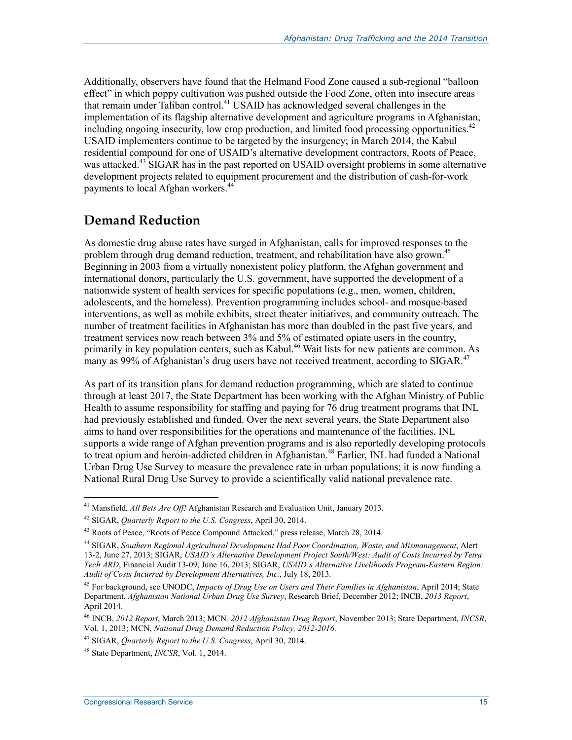Additionally, observers have found that the Helmand Food Zone caused a sub-regional "balloon effect" in which poppy cultivation was pushed outside the Food Zone, often into insecure areas that remain under Taliban control.<sup>41</sup> USAID has acknowledged several challenges in the implementation of its flagship alternative development and agriculture programs in Afghanistan, including ongoing insecurity, low crop production, and limited food processing opportunities.<sup>42</sup> USAID implementers continue to be targeted by the insurgency; in March 2014, the Kabul residential compound for one of USAID's alternative development contractors, Roots of Peace, was attacked.<sup>43</sup> SIGAR has in the past reported on USAID oversight problems in some alternative development projects related to equipment procurement and the distribution of cash-for-work payments to local Afghan workers.<sup>44</sup>

### **Demand Reduction**

As domestic drug abuse rates have surged in Afghanistan, calls for improved responses to the problem through drug demand reduction, treatment, and rehabilitation have also grown.<sup>45</sup> Beginning in 2003 from a virtually nonexistent policy platform, the Afghan government and international donors, particularly the U.S. government, have supported the development of a nationwide system of health services for specific populations (e.g., men, women, children, adolescents, and the homeless). Prevention programming includes school- and mosque-based interventions, as well as mobile exhibits, street theater initiatives, and community outreach. The number of treatment facilities in Afghanistan has more than doubled in the past five years, and treatment services now reach between 3% and 5% of estimated opiate users in the country, primarily in key population centers, such as Kabul.<sup>46</sup> Wait lists for new patients are common. As many as 99% of Afghanistan's drug users have not received treatment, according to SIGAR.<sup>47</sup>

As part of its transition plans for demand reduction programming, which are slated to continue through at least 2017, the State Department has been working with the Afghan Ministry of Public Health to assume responsibility for staffing and paying for 76 drug treatment programs that INL had previously established and funded. Over the next several years, the State Department also aims to hand over responsibilities for the operations and maintenance of the facilities. INL supports a wide range of Afghan prevention programs and is also reportedly developing protocols to treat opium and heroin-addicted children in Afghanistan.<sup>48</sup> Earlier, INL had funded a National Urban Drug Use Survey to measure the prevalence rate in urban populations; it is now funding a National Rural Drug Use Survey to provide a scientifically valid national prevalence rate.

<sup>41</sup> Mansfield, *All Bets Are Off!* Afghanistan Research and Evaluation Unit, January 2013.

<sup>42</sup> SIGAR, *Quarterly Report to the U.S. Congress*, April 30, 2014.

<sup>&</sup>lt;sup>43</sup> Roots of Peace, "Roots of Peace Compound Attacked," press release, March 28, 2014.

<sup>44</sup> SIGAR, *Southern Regional Agricultural Development Had Poor Coordination, Waste, and Mismanagement*, Alert 13-2, June 27, 2013; SIGAR, *USAID's Alternative Development Project South/West: Audit of Costs Incurred by Tetra Tech ARD*, Financial Audit 13-09, June 16, 2013; SIGAR, *USAID's Alternative Livelihoods Program-Eastern Region: Audit of Costs Incurred by Development Alternatives, Inc.*, July 18, 2013.

<sup>45</sup> For background, see UNODC, *Impacts of Drug Use on Users and Their Families in Afghanistan*, April 2014; State Department, *Afghanistan National Urban Drug Use Survey*, Research Brief, December 2012; INCB, *2013 Report*, April 2014.

<sup>46</sup> INCB, *2012 Report*, March 2013; MCN*, 2012 Afghanistan Drug Report*, November 2013; State Department, *INCSR*, Vol. 1, 2013; MCN, *National Drug Demand Reduction Policy, 2012-2016*.

<sup>47</sup> SIGAR, *Quarterly Report to the U.S. Congress*, April 30, 2014.

<sup>48</sup> State Department, *INCSR*, Vol. 1, 2014.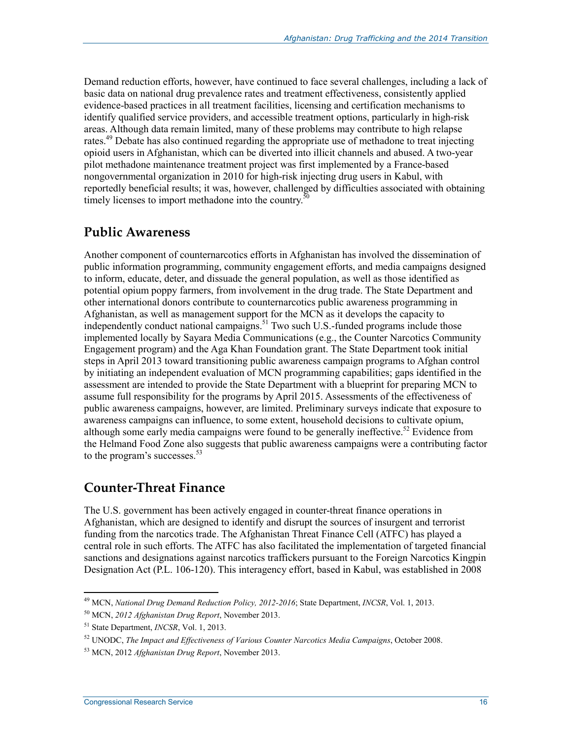Demand reduction efforts, however, have continued to face several challenges, including a lack of basic data on national drug prevalence rates and treatment effectiveness, consistently applied evidence-based practices in all treatment facilities, licensing and certification mechanisms to identify qualified service providers, and accessible treatment options, particularly in high-risk areas. Although data remain limited, many of these problems may contribute to high relapse rates.<sup>49</sup> Debate has also continued regarding the appropriate use of methadone to treat injecting opioid users in Afghanistan, which can be diverted into illicit channels and abused. A two-year pilot methadone maintenance treatment project was first implemented by a France-based nongovernmental organization in 2010 for high-risk injecting drug users in Kabul, with reportedly beneficial results; it was, however, challenged by difficulties associated with obtaining timely licenses to import methadone into the country.<sup>50</sup>

#### **Public Awareness**

Another component of counternarcotics efforts in Afghanistan has involved the dissemination of public information programming, community engagement efforts, and media campaigns designed to inform, educate, deter, and dissuade the general population, as well as those identified as potential opium poppy farmers, from involvement in the drug trade. The State Department and other international donors contribute to counternarcotics public awareness programming in Afghanistan, as well as management support for the MCN as it develops the capacity to independently conduct national campaigns.<sup>51</sup> Two such U.S.-funded programs include those implemented locally by Sayara Media Communications (e.g., the Counter Narcotics Community Engagement program) and the Aga Khan Foundation grant. The State Department took initial steps in April 2013 toward transitioning public awareness campaign programs to Afghan control by initiating an independent evaluation of MCN programming capabilities; gaps identified in the assessment are intended to provide the State Department with a blueprint for preparing MCN to assume full responsibility for the programs by April 2015. Assessments of the effectiveness of public awareness campaigns, however, are limited. Preliminary surveys indicate that exposure to awareness campaigns can influence, to some extent, household decisions to cultivate opium, although some early media campaigns were found to be generally ineffective.<sup>52</sup> Evidence from the Helmand Food Zone also suggests that public awareness campaigns were a contributing factor to the program's successes.<sup>53</sup>

#### **Counter-Threat Finance**

The U.S. government has been actively engaged in counter-threat finance operations in Afghanistan, which are designed to identify and disrupt the sources of insurgent and terrorist funding from the narcotics trade. The Afghanistan Threat Finance Cell (ATFC) has played a central role in such efforts. The ATFC has also facilitated the implementation of targeted financial sanctions and designations against narcotics traffickers pursuant to the Foreign Narcotics Kingpin Designation Act (P.L. 106-120). This interagency effort, based in Kabul, was established in 2008

<sup>49</sup> MCN, *National Drug Demand Reduction Policy, 2012-2016*; State Department, *INCSR*, Vol. 1, 2013.

<sup>50</sup> MCN, *2012 Afghanistan Drug Report*, November 2013.

<sup>51</sup> State Department, *INCSR*, Vol. 1, 2013.

<sup>52</sup> UNODC, *The Impact and Effectiveness of Various Counter Narcotics Media Campaigns*, October 2008.

<sup>53</sup> MCN, 2012 *Afghanistan Drug Report*, November 2013.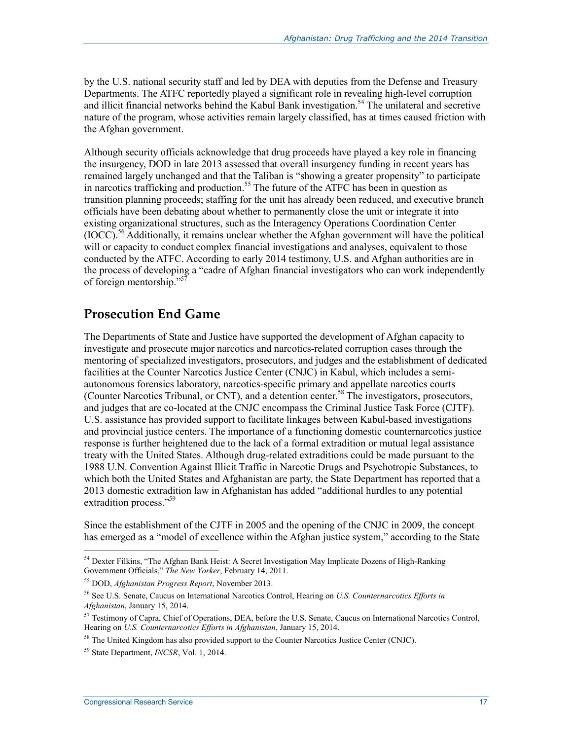by the U.S. national security staff and led by DEA with deputies from the Defense and Treasury Departments. The ATFC reportedly played a significant role in revealing high-level corruption and illicit financial networks behind the Kabul Bank investigation.<sup>54</sup> The unilateral and secretive nature of the program, whose activities remain largely classified, has at times caused friction with the Afghan government.

Although security officials acknowledge that drug proceeds have played a key role in financing the insurgency, DOD in late 2013 assessed that overall insurgency funding in recent years has remained largely unchanged and that the Taliban is "showing a greater propensity" to participate in narcotics trafficking and production.<sup>55</sup> The future of the ATFC has been in question as transition planning proceeds; staffing for the unit has already been reduced, and executive branch officials have been debating about whether to permanently close the unit or integrate it into existing organizational structures, such as the Interagency Operations Coordination Center  $(IOCC)$ <sup>56</sup> Additionally, it remains unclear whether the Afghan government will have the political will or capacity to conduct complex financial investigations and analyses, equivalent to those conducted by the ATFC. According to early 2014 testimony, U.S. and Afghan authorities are in the process of developing a "cadre of Afghan financial investigators who can work independently of foreign mentorship."57

#### **Prosecution End Game**

The Departments of State and Justice have supported the development of Afghan capacity to investigate and prosecute major narcotics and narcotics-related corruption cases through the mentoring of specialized investigators, prosecutors, and judges and the establishment of dedicated facilities at the Counter Narcotics Justice Center (CNJC) in Kabul, which includes a semiautonomous forensics laboratory, narcotics-specific primary and appellate narcotics courts (Counter Narcotics Tribunal, or CNT), and a detention center.<sup>58</sup> The investigators, prosecutors, and judges that are co-located at the CNJC encompass the Criminal Justice Task Force (CJTF). U.S. assistance has provided support to facilitate linkages between Kabul-based investigations and provincial justice centers. The importance of a functioning domestic counternarcotics justice response is further heightened due to the lack of a formal extradition or mutual legal assistance treaty with the United States. Although drug-related extraditions could be made pursuant to the 1988 U.N. Convention Against Illicit Traffic in Narcotic Drugs and Psychotropic Substances, to which both the United States and Afghanistan are party, the State Department has reported that a 2013 domestic extradition law in Afghanistan has added "additional hurdles to any potential extradition process."<sup>59</sup>

Since the establishment of the CJTF in 2005 and the opening of the CNJC in 2009, the concept has emerged as a "model of excellence within the Afghan justice system," according to the State

<sup>&</sup>lt;sup>54</sup> Dexter Filkins, "The Afghan Bank Heist: A Secret Investigation May Implicate Dozens of High-Ranking Government Officials," *The New Yorker*, February 14, 2011.

<sup>55</sup> DOD, *Afghanistan Progress Report*, November 2013.

<sup>56</sup> See U.S. Senate, Caucus on International Narcotics Control, Hearing on *U.S. Counternarcotics Efforts in Afghanistan*, January 15, 2014.

<sup>&</sup>lt;sup>57</sup> Testimony of Capra, Chief of Operations, DEA, before the U.S. Senate, Caucus on International Narcotics Control, Hearing on *U.S. Counternarcotics Efforts in Afghanistan*, January 15, 2014.

 $<sup>58</sup>$  The United Kingdom has also provided support to the Counter Narcotics Justice Center (CNJC).</sup>

<sup>59</sup> State Department, *INCSR*, Vol. 1, 2014.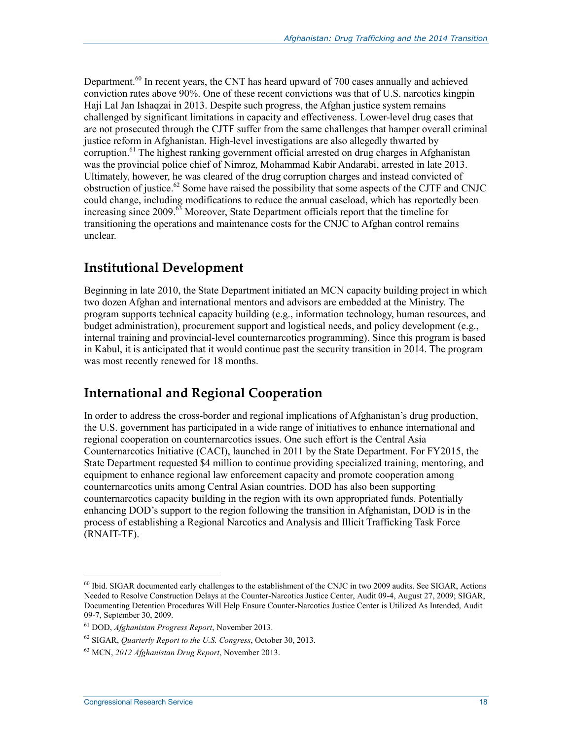Department.<sup>60</sup> In recent years, the CNT has heard upward of 700 cases annually and achieved conviction rates above 90%. One of these recent convictions was that of U.S. narcotics kingpin Haji Lal Jan Ishaqzai in 2013. Despite such progress, the Afghan justice system remains challenged by significant limitations in capacity and effectiveness. Lower-level drug cases that are not prosecuted through the CJTF suffer from the same challenges that hamper overall criminal justice reform in Afghanistan. High-level investigations are also allegedly thwarted by corruption.<sup>61</sup> The highest ranking government official arrested on drug charges in Afghanistan was the provincial police chief of Nimroz, Mohammad Kabir Andarabi, arrested in late 2013. Ultimately, however, he was cleared of the drug corruption charges and instead convicted of obstruction of justice.62 Some have raised the possibility that some aspects of the CJTF and CNJC could change, including modifications to reduce the annual caseload, which has reportedly been increasing since  $2009$ .<sup>63</sup> Moreover, State Department officials report that the timeline for transitioning the operations and maintenance costs for the CNJC to Afghan control remains unclear.

#### **Institutional Development**

Beginning in late 2010, the State Department initiated an MCN capacity building project in which two dozen Afghan and international mentors and advisors are embedded at the Ministry. The program supports technical capacity building (e.g., information technology, human resources, and budget administration), procurement support and logistical needs, and policy development (e.g., internal training and provincial-level counternarcotics programming). Since this program is based in Kabul, it is anticipated that it would continue past the security transition in 2014. The program was most recently renewed for 18 months.

### **International and Regional Cooperation**

In order to address the cross-border and regional implications of Afghanistan's drug production, the U.S. government has participated in a wide range of initiatives to enhance international and regional cooperation on counternarcotics issues. One such effort is the Central Asia Counternarcotics Initiative (CACI), launched in 2011 by the State Department. For FY2015, the State Department requested \$4 million to continue providing specialized training, mentoring, and equipment to enhance regional law enforcement capacity and promote cooperation among counternarcotics units among Central Asian countries. DOD has also been supporting counternarcotics capacity building in the region with its own appropriated funds. Potentially enhancing DOD's support to the region following the transition in Afghanistan, DOD is in the process of establishing a Regional Narcotics and Analysis and Illicit Trafficking Task Force (RNAIT-TF).

<sup>1</sup>  $^{60}$  Ibid. SIGAR documented early challenges to the establishment of the CNJC in two 2009 audits. See SIGAR, Actions Needed to Resolve Construction Delays at the Counter-Narcotics Justice Center, Audit 09-4, August 27, 2009; SIGAR, Documenting Detention Procedures Will Help Ensure Counter-Narcotics Justice Center is Utilized As Intended, Audit 09-7, September 30, 2009.

<sup>61</sup> DOD, *Afghanistan Progress Report*, November 2013.

<sup>62</sup> SIGAR, *Quarterly Report to the U.S. Congress*, October 30, 2013.

<sup>63</sup> MCN, *2012 Afghanistan Drug Report*, November 2013.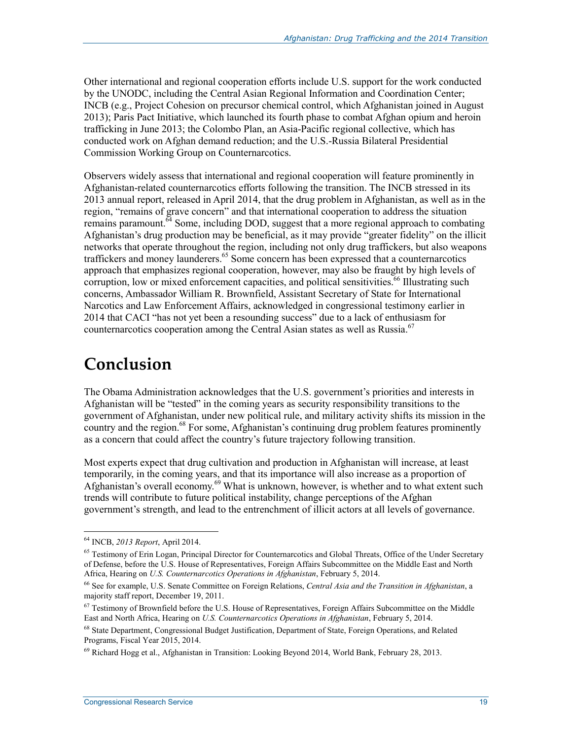Other international and regional cooperation efforts include U.S. support for the work conducted by the UNODC, including the Central Asian Regional Information and Coordination Center; INCB (e.g., Project Cohesion on precursor chemical control, which Afghanistan joined in August 2013); Paris Pact Initiative, which launched its fourth phase to combat Afghan opium and heroin trafficking in June 2013; the Colombo Plan, an Asia-Pacific regional collective, which has conducted work on Afghan demand reduction; and the U.S.-Russia Bilateral Presidential Commission Working Group on Counternarcotics.

Observers widely assess that international and regional cooperation will feature prominently in Afghanistan-related counternarcotics efforts following the transition. The INCB stressed in its 2013 annual report, released in April 2014, that the drug problem in Afghanistan, as well as in the region, "remains of grave concern" and that international cooperation to address the situation remains paramount.<sup> $64$ </sup> Some, including DOD, suggest that a more regional approach to combating Afghanistan's drug production may be beneficial, as it may provide "greater fidelity" on the illicit networks that operate throughout the region, including not only drug traffickers, but also weapons traffickers and money launderers.<sup>65</sup> Some concern has been expressed that a counternarcotics approach that emphasizes regional cooperation, however, may also be fraught by high levels of corruption, low or mixed enforcement capacities, and political sensitivities.<sup>66</sup> Illustrating such concerns, Ambassador William R. Brownfield, Assistant Secretary of State for International Narcotics and Law Enforcement Affairs, acknowledged in congressional testimony earlier in 2014 that CACI "has not yet been a resounding success" due to a lack of enthusiasm for counternarcotics cooperation among the Central Asian states as well as Russia. $67$ 

## **Conclusion**

The Obama Administration acknowledges that the U.S. government's priorities and interests in Afghanistan will be "tested" in the coming years as security responsibility transitions to the government of Afghanistan, under new political rule, and military activity shifts its mission in the country and the region.<sup>68</sup> For some, Afghanistan's continuing drug problem features prominently as a concern that could affect the country's future trajectory following transition.

Most experts expect that drug cultivation and production in Afghanistan will increase, at least temporarily, in the coming years, and that its importance will also increase as a proportion of Afghanistan's overall economy.<sup>69</sup> What is unknown, however, is whether and to what extent such trends will contribute to future political instability, change perceptions of the Afghan government's strength, and lead to the entrenchment of illicit actors at all levels of governance.

<u>.</u>

<sup>64</sup> INCB, *2013 Report*, April 2014.

<sup>&</sup>lt;sup>65</sup> Testimony of Erin Logan, Principal Director for Counternarcotics and Global Threats, Office of the Under Secretary of Defense, before the U.S. House of Representatives, Foreign Affairs Subcommittee on the Middle East and North Africa, Hearing on *U.S. Counternarcotics Operations in Afghanistan*, February 5, 2014.

<sup>66</sup> See for example, U.S. Senate Committee on Foreign Relations, *Central Asia and the Transition in Afghanistan*, a majority staff report, December 19, 2011.

 $67$  Testimony of Brownfield before the U.S. House of Representatives, Foreign Affairs Subcommittee on the Middle East and North Africa, Hearing on *U.S. Counternarcotics Operations in Afghanistan*, February 5, 2014.

<sup>68</sup> State Department, Congressional Budget Justification, Department of State, Foreign Operations, and Related Programs, Fiscal Year 2015, 2014.

 $^{69}$  Richard Hogg et al., Afghanistan in Transition: Looking Beyond 2014, World Bank, February 28, 2013.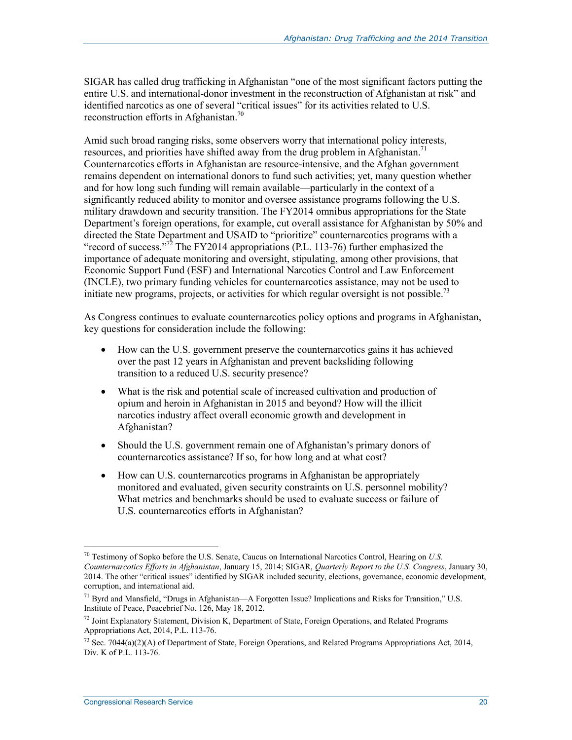SIGAR has called drug trafficking in Afghanistan "one of the most significant factors putting the entire U.S. and international-donor investment in the reconstruction of Afghanistan at risk" and identified narcotics as one of several "critical issues" for its activities related to U.S. reconstruction efforts in Afghanistan.<sup>70</sup>

Amid such broad ranging risks, some observers worry that international policy interests, resources, and priorities have shifted away from the drug problem in Afghanistan.<sup>71</sup> Counternarcotics efforts in Afghanistan are resource-intensive, and the Afghan government remains dependent on international donors to fund such activities; yet, many question whether and for how long such funding will remain available—particularly in the context of a significantly reduced ability to monitor and oversee assistance programs following the U.S. military drawdown and security transition. The FY2014 omnibus appropriations for the State Department's foreign operations, for example, cut overall assistance for Afghanistan by 50% and directed the State Department and USAID to "prioritize" counternarcotics programs with a "record of success."<sup>72</sup> The FY2014 appropriations (P.L. 113-76) further emphasized the importance of adequate monitoring and oversight, stipulating, among other provisions, that Economic Support Fund (ESF) and International Narcotics Control and Law Enforcement (INCLE), two primary funding vehicles for counternarcotics assistance, may not be used to initiate new programs, projects, or activities for which regular oversight is not possible.<sup>73</sup>

As Congress continues to evaluate counternarcotics policy options and programs in Afghanistan, key questions for consideration include the following:

- How can the U.S. government preserve the counternarcotics gains it has achieved over the past 12 years in Afghanistan and prevent backsliding following transition to a reduced U.S. security presence?
- What is the risk and potential scale of increased cultivation and production of opium and heroin in Afghanistan in 2015 and beyond? How will the illicit narcotics industry affect overall economic growth and development in Afghanistan?
- Should the U.S. government remain one of Afghanistan's primary donors of counternarcotics assistance? If so, for how long and at what cost?
- How can U.S. counternarcotics programs in Afghanistan be appropriately monitored and evaluated, given security constraints on U.S. personnel mobility? What metrics and benchmarks should be used to evaluate success or failure of U.S. counternarcotics efforts in Afghanistan?

<sup>70</sup> Testimony of Sopko before the U.S. Senate, Caucus on International Narcotics Control, Hearing on *U.S. Counternarcotics Efforts in Afghanistan*, January 15, 2014; SIGAR, *Quarterly Report to the U.S. Congress*, January 30, 2014. The other "critical issues" identified by SIGAR included security, elections, governance, economic development, corruption, and international aid.

<sup>71</sup> Byrd and Mansfield, "Drugs in Afghanistan—A Forgotten Issue? Implications and Risks for Transition," U.S. Institute of Peace, Peacebrief No. 126, May 18, 2012.

 $^{72}$  Joint Explanatory Statement, Division K, Department of State, Foreign Operations, and Related Programs Appropriations Act, 2014, P.L. 113-76.

<sup>&</sup>lt;sup>73</sup> Sec. 7044(a)(2)(A) of Department of State, Foreign Operations, and Related Programs Appropriations Act, 2014, Div. K of P.L. 113-76.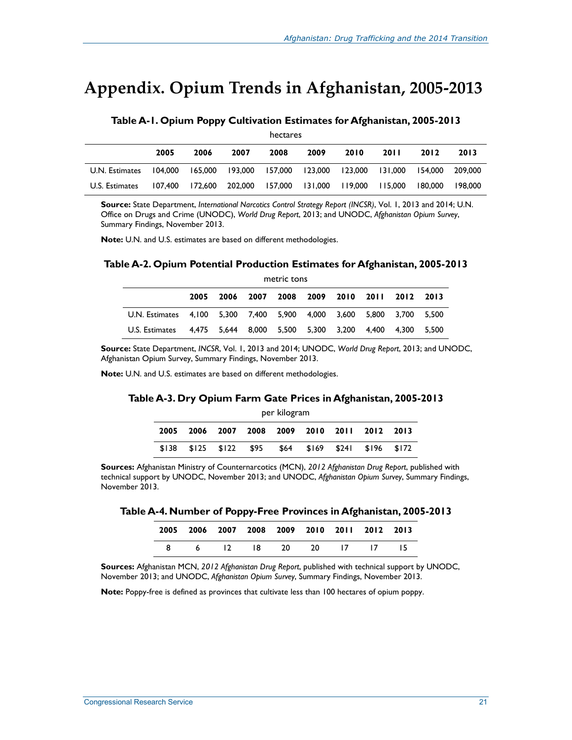## **Appendix. Opium Trends in Afghanistan, 2005-2013**

#### **Table A-1. Opium Poppy Cultivation Estimates for Afghanistan, 2005-2013**  hectares

| TIECLAI ES     |         |         |                 |         |         |                 |         |         |         |  |
|----------------|---------|---------|-----------------|---------|---------|-----------------|---------|---------|---------|--|
|                | 2005    | 2006    | 2007            | 2008    | 2009    | 2010            | 20 I I  | 2012    | 2013    |  |
| U.N. Estimates | 104.000 | 165.000 | 193.000 157.000 |         | 123.000 | 123.000 131.000 |         | 154.000 | 209.000 |  |
| U.S. Estimates | 107.400 | 172.600 | 202.000         | 157.000 | 131.000 | 119.000         | 115.000 | 180.000 | 198.000 |  |

**Source:** State Department, *International Narcotics Control Strategy Report (INCSR)*, Vol. 1, 2013 and 2014; U.N. Office on Drugs and Crime (UNODC), *World Drug Report*, 2013; and UNODC, *Afghanistan Opium Survey*, Summary Findings, November 2013.

**Note:** U.N. and U.S. estimates are based on different methodologies.

#### **Table A-2. Opium Potential Production Estimates for Afghanistan, 2005-2013**

| metric tons                                                          |      |                                           |      |  |  |  |                               |             |  |
|----------------------------------------------------------------------|------|-------------------------------------------|------|--|--|--|-------------------------------|-------------|--|
|                                                                      | 2005 | 2006                                      | 2007 |  |  |  | 2008 2009 2010 2011 2012 2013 |             |  |
| U.N. Estimates 4,100 5,300 7,400 5,900 4,000 3,600 5,800 3,700 5,500 |      |                                           |      |  |  |  |                               |             |  |
| U.S. Estimates                                                       |      | 4,475 5,644 8,000 5,500 5,300 3,200 4,400 |      |  |  |  |                               | 4.300 5.500 |  |

**Source:** State Department, *INCSR*, Vol. 1, 2013 and 2014; UNODC, *World Drug Report*, 2013; and UNODC, Afghanistan Opium Survey, Summary Findings, November 2013.

**Note:** U.N. and U.S. estimates are based on different methodologies.

#### **Table A-3. Dry Opium Farm Gate Prices in Afghanistan, 2005-2013**

| per kilogram |      |             |      |  |                     |  |                                    |       |  |
|--------------|------|-------------|------|--|---------------------|--|------------------------------------|-------|--|
| 2005         | 2006 |             |      |  |                     |  | 2007 2008 2009 2010 2011 2012 2013 |       |  |
| \$138        |      | \$125 \$122 | \$95 |  | $$64$ $$169$ $$241$ |  | \$196                              | \$172 |  |

**Sources:** Afghanistan Ministry of Counternarcotics (MCN), *2012 Afghanistan Drug Report*, published with technical support by UNODC, November 2013; and UNODC, *Afghanistan Opium Survey*, Summary Findings, November 2013.

**Table A-4. Number of Poppy-Free Provinces in Afghanistan, 2005-2013** 

|  |  |  | 2005 2006 2007 2008 2009 2010 2011 2012 2013 |  |
|--|--|--|----------------------------------------------|--|
|  |  |  | 8 6 12 18 20 20 17 17 15                     |  |

**Sources:** Afghanistan MCN, *2012 Afghanistan Drug Report*, published with technical support by UNODC, November 2013; and UNODC, *Afghanistan Opium Survey*, Summary Findings, November 2013.

**Note:** Poppy-free is defined as provinces that cultivate less than 100 hectares of opium poppy.